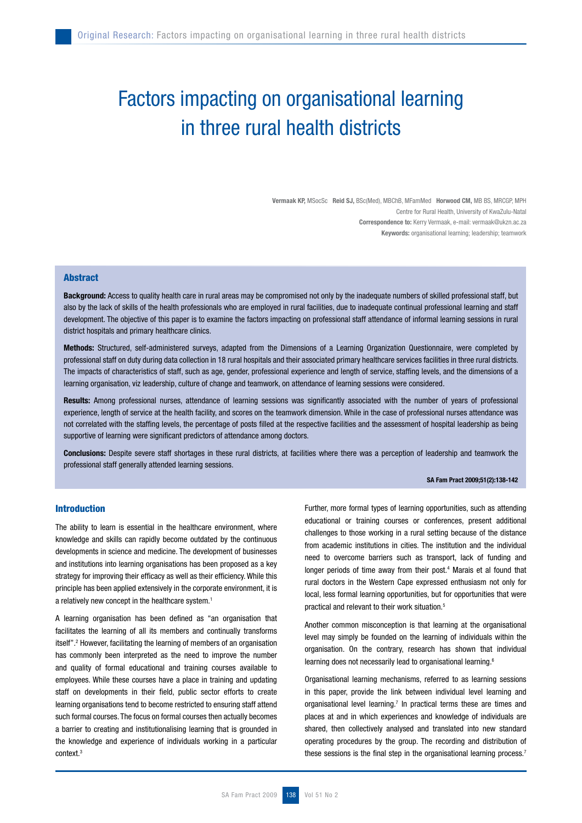# Factors impacting on organisational learning in three rural health districts

Vermaak KP, MSocSc Reid SJ, BSc(Med), MBChB, MFamMed Horwood CM, MB BS, MRCGP, MPH Centre for Rural Health, University of KwaZulu-Natal Correspondence to: Kerry Vermaak, e-mail: vermaak@ukzn.ac.za Keywords: organisational learning; leadership; teamwork

## **Abstract**

Background: Access to quality health care in rural areas may be compromised not only by the inadequate numbers of skilled professional staff, but also by the lack of skills of the health professionals who are employed in rural facilities, due to inadequate continual professional learning and staff development. The objective of this paper is to examine the factors impacting on professional staff attendance of informal learning sessions in rural district hospitals and primary healthcare clinics.

Methods: Structured, self-administered surveys, adapted from the Dimensions of a Learning Organization Questionnaire, were completed by professional staff on duty during data collection in 18 rural hospitals and their associated primary healthcare services facilities in three rural districts. The impacts of characteristics of staff, such as age, gender, professional experience and length of service, staffing levels, and the dimensions of a learning organisation, viz leadership, culture of change and teamwork, on attendance of learning sessions were considered.

Results: Among professional nurses, attendance of learning sessions was significantly associated with the number of years of professional experience, length of service at the health facility, and scores on the teamwork dimension. While in the case of professional nurses attendance was not correlated with the staffing levels, the percentage of posts filled at the respective facilities and the assessment of hospital leadership as being supportive of learning were significant predictors of attendance among doctors.

Conclusions: Despite severe staff shortages in these rural districts, at facilities where there was a perception of leadership and teamwork the professional staff generally attended learning sessions.

#### SA Fam Pract 2009;51(2):138-142

#### Introduction

The ability to learn is essential in the healthcare environment, where knowledge and skills can rapidly become outdated by the continuous developments in science and medicine. The development of businesses and institutions into learning organisations has been proposed as a key strategy for improving their efficacy as well as their efficiency. While this principle has been applied extensively in the corporate environment, it is a relatively new concept in the healthcare system.<sup>1</sup>

A learning organisation has been defined as "an organisation that facilitates the learning of all its members and continually transforms itself".2 However, facilitating the learning of members of an organisation has commonly been interpreted as the need to improve the number and quality of formal educational and training courses available to employees. While these courses have a place in training and updating staff on developments in their field, public sector efforts to create learning organisations tend to become restricted to ensuring staff attend such formal courses. The focus on formal courses then actually becomes a barrier to creating and institutionalising learning that is grounded in the knowledge and experience of individuals working in a particular context.3

Further, more formal types of learning opportunities, such as attending educational or training courses or conferences, present additional challenges to those working in a rural setting because of the distance from academic institutions in cities. The institution and the individual need to overcome barriers such as transport, lack of funding and longer periods of time away from their post.<sup>4</sup> Marais et al found that rural doctors in the Western Cape expressed enthusiasm not only for local, less formal learning opportunities, but for opportunities that were practical and relevant to their work situation.5

Another common misconception is that learning at the organisational level may simply be founded on the learning of individuals within the organisation. On the contrary, research has shown that individual learning does not necessarily lead to organisational learning.<sup>6</sup>

Organisational learning mechanisms, referred to as learning sessions in this paper, provide the link between individual level learning and organisational level learning.<sup>7</sup> In practical terms these are times and places at and in which experiences and knowledge of individuals are shared, then collectively analysed and translated into new standard operating procedures by the group. The recording and distribution of these sessions is the final step in the organisational learning process.<sup>7</sup>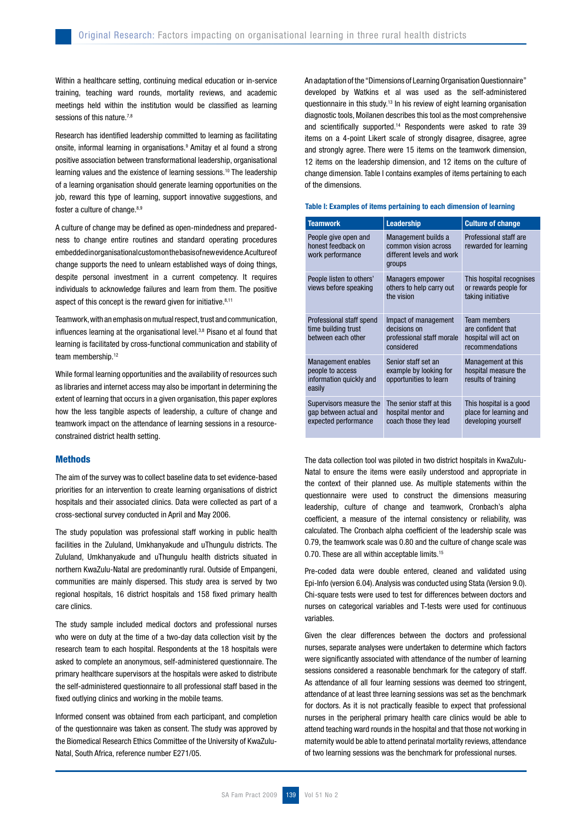Within a healthcare setting, continuing medical education or in-service training, teaching ward rounds, mortality reviews, and academic meetings held within the institution would be classified as learning sessions of this nature.<sup>7,8</sup>

Research has identified leadership committed to learning as facilitating onsite, informal learning in organisations.<sup>9</sup> Amitay et al found a strong positive association between transformational leadership, organisational learning values and the existence of learning sessions.10 The leadership of a learning organisation should generate learning opportunities on the job, reward this type of learning, support innovative suggestions, and foster a culture of change.<sup>8,9</sup>

A culture of change may be defined as open-mindedness and preparedness to change entire routines and standard operating procedures embedded in organisational custom on the basis of new evidence. A culture of change supports the need to unlearn established ways of doing things, despite personal investment in a current competency. It requires individuals to acknowledge failures and learn from them. The positive aspect of this concept is the reward given for initiative. 8,11

Teamwork, with an emphasis on mutual respect, trust and communication, influences learning at the organisational level.<sup>3,8</sup> Pisano et al found that learning is facilitated by cross-functional communication and stability of team membership.<sup>12</sup>

While formal learning opportunities and the availability of resources such as libraries and internet access may also be important in determining the extent of learning that occurs in a given organisation, this paper explores how the less tangible aspects of leadership, a culture of change and teamwork impact on the attendance of learning sessions in a resourceconstrained district health setting.

# **Methods**

The aim of the survey was to collect baseline data to set evidence-based priorities for an intervention to create learning organisations of district hospitals and their associated clinics. Data were collected as part of a cross-sectional survey conducted in April and May 2006.

The study population was professional staff working in public health facilities in the Zululand, Umkhanyakude and uThungulu districts. The Zululand, Umkhanyakude and uThungulu health districts situated in northern KwaZulu-Natal are predominantly rural. Outside of Empangeni, communities are mainly dispersed. This study area is served by two regional hospitals, 16 district hospitals and 158 fixed primary health care clinics.

The study sample included medical doctors and professional nurses who were on duty at the time of a two-day data collection visit by the research team to each hospital. Respondents at the 18 hospitals were asked to complete an anonymous, self-administered questionnaire. The primary healthcare supervisors at the hospitals were asked to distribute the self-administered questionnaire to all professional staff based in the fixed outlying clinics and working in the mobile teams.

Informed consent was obtained from each participant, and completion of the questionnaire was taken as consent. The study was approved by the Biomedical Research Ethics Committee of the University of KwaZulu-Natal, South Africa, reference number E271/05.

An adaptation of the "Dimensions of Learning Organisation Questionnaire" developed by Watkins et al was used as the self-administered questionnaire in this study.13 In his review of eight learning organisation diagnostic tools, Moilanen describes this tool as the most comprehensive and scientifically supported.14 Respondents were asked to rate 39 items on a 4-point Likert scale of strongly disagree, disagree, agree and strongly agree. There were 15 items on the teamwork dimension, 12 items on the leadership dimension, and 12 items on the culture of change dimension. Table I contains examples of items pertaining to each of the dimensions.

| <b>Teamwork</b>                                                                    | <b>Leadership</b>                                                                  | <b>Culture of change</b>                                                             |
|------------------------------------------------------------------------------------|------------------------------------------------------------------------------------|--------------------------------------------------------------------------------------|
| People give open and<br>honest feedback on<br>work performance                     | Management builds a<br>common vision across<br>different levels and work<br>groups | Professional staff are<br>rewarded for learning                                      |
| People listen to others'<br>views before speaking                                  | Managers empower<br>others to help carry out<br>the vision                         | This hospital recognises<br>or rewards people for<br>taking initiative               |
| Professional staff spend<br>time building trust<br>between each other              | Impact of management<br>decisions on<br>professional staff morale<br>considered    | <b>Team members</b><br>are confident that<br>hospital will act on<br>recommendations |
| <b>Management enables</b><br>people to access<br>information quickly and<br>easily | Senior staff set an<br>example by looking for<br>opportunities to learn            | <b>Management at this</b><br>hospital measure the<br>results of training             |
| Supervisors measure the<br>gap between actual and<br>expected performance          | The senior staff at this<br>hospital mentor and<br>coach those they lead           | This hospital is a good<br>place for learning and<br>developing yourself             |

The data collection tool was piloted in two district hospitals in KwaZulu-Natal to ensure the items were easily understood and appropriate in the context of their planned use. As multiple statements within the questionnaire were used to construct the dimensions measuring leadership, culture of change and teamwork, Cronbach's alpha coefficient, a measure of the internal consistency or reliability, was calculated. The Cronbach alpha coefficient of the leadership scale was 0.79, the teamwork scale was 0.80 and the culture of change scale was 0.70. These are all within acceptable limits.<sup>15</sup>

Pre-coded data were double entered, cleaned and validated using Epi-Info (version 6.04). Analysis was conducted using Stata (Version 9.0). Chi-square tests were used to test for differences between doctors and nurses on categorical variables and T-tests were used for continuous variables.

Given the clear differences between the doctors and professional nurses, separate analyses were undertaken to determine which factors were significantly associated with attendance of the number of learning sessions considered a reasonable benchmark for the category of staff. As attendance of all four learning sessions was deemed too stringent, attendance of at least three learning sessions was set as the benchmark for doctors. As it is not practically feasible to expect that professional nurses in the peripheral primary health care clinics would be able to attend teaching ward rounds in the hospital and that those not working in maternity would be able to attend perinatal mortality reviews, attendance of two learning sessions was the benchmark for professional nurses.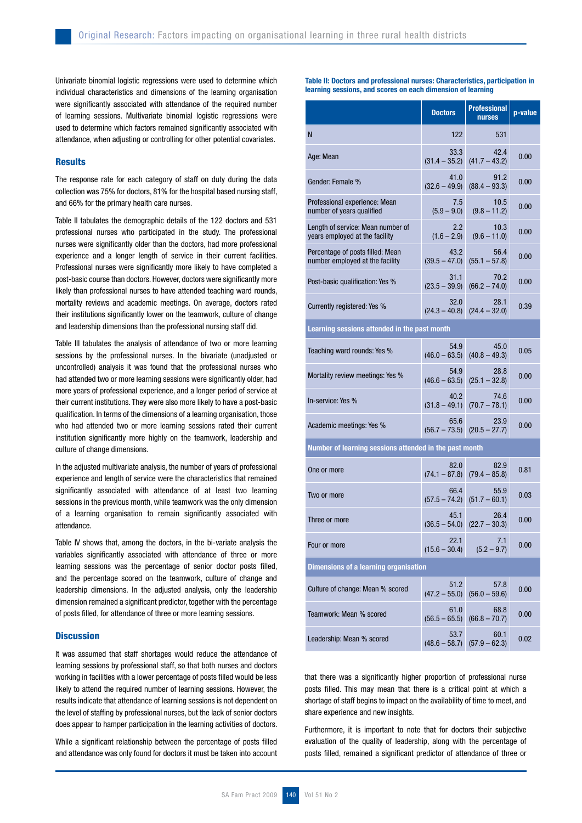Univariate binomial logistic regressions were used to determine which individual characteristics and dimensions of the learning organisation were significantly associated with attendance of the required number of learning sessions. Multivariate binomial logistic regressions were used to determine which factors remained significantly associated with attendance, when adjusting or controlling for other potential covariates.

### **Results**

The response rate for each category of staff on duty during the data collection was 75% for doctors, 81% for the hospital based nursing staff, and 66% for the primary health care nurses.

Table II tabulates the demographic details of the 122 doctors and 531 professional nurses who participated in the study. The professional nurses were significantly older than the doctors, had more professional experience and a longer length of service in their current facilities. Professional nurses were significantly more likely to have completed a post-basic course than doctors. However, doctors were significantly more likely than professional nurses to have attended teaching ward rounds, mortality reviews and academic meetings. On average, doctors rated their institutions significantly lower on the teamwork, culture of change and leadership dimensions than the professional nursing staff did.

Table III tabulates the analysis of attendance of two or more learning sessions by the professional nurses. In the bivariate (unadjusted or uncontrolled) analysis it was found that the professional nurses who had attended two or more learning sessions were significantly older, had more years of professional experience, and a longer period of service at their current institutions. They were also more likely to have a post-basic qualification. In terms of the dimensions of a learning organisation, those who had attended two or more learning sessions rated their current institution significantly more highly on the teamwork, leadership and culture of change dimensions.

In the adjusted multivariate analysis, the number of years of professional experience and length of service were the characteristics that remained significantly associated with attendance of at least two learning sessions in the previous month, while teamwork was the only dimension of a learning organisation to remain significantly associated with attendance.

Table IV shows that, among the doctors, in the bi-variate analysis the variables significantly associated with attendance of three or more learning sessions was the percentage of senior doctor posts filled, and the percentage scored on the teamwork, culture of change and leadership dimensions. In the adjusted analysis, only the leadership dimension remained a significant predictor, together with the percentage of posts filled, for attendance of three or more learning sessions.

## **Discussion**

It was assumed that staff shortages would reduce the attendance of learning sessions by professional staff, so that both nurses and doctors working in facilities with a lower percentage of posts filled would be less likely to attend the required number of learning sessions. However, the results indicate that attendance of learning sessions is not dependent on the level of staffing by professional nurses, but the lack of senior doctors does appear to hamper participation in the learning activities of doctors.

While a significant relationship between the percentage of posts filled and attendance was only found for doctors it must be taken into account

Table II: Doctors and professional nurses: Characteristics, participation in learning sessions, and scores on each dimension of learning

|                                                                     | <b>Doctors</b>           | <b>Professional</b><br><b>nurses</b> | p-value |  |  |  |
|---------------------------------------------------------------------|--------------------------|--------------------------------------|---------|--|--|--|
| N                                                                   | 122                      | 531                                  |         |  |  |  |
| Age: Mean                                                           | 33.3<br>$(31.4 - 35.2)$  | 42.4<br>$(41.7 - 43.2)$              | 0.00    |  |  |  |
| Gender: Female %                                                    | 41.0<br>$(32.6 - 49.9)$  | 91.2<br>$(88.4 - 93.3)$              | 0.00    |  |  |  |
| Professional experience: Mean<br>number of years qualified          | 7.5<br>$(5.9 - 9.0)$     | 10.5<br>$(9.8 - 11.2)$               | 0.00    |  |  |  |
| Length of service: Mean number of<br>years employed at the facility | $2.2\,$<br>$(1.6 - 2.9)$ | 10.3<br>$(9.6 - 11.0)$               | 0.00    |  |  |  |
| Percentage of posts filled: Mean<br>number employed at the facility | 43.2<br>$(39.5 - 47.0)$  | 56.4<br>$(55.1 - 57.8)$              | 0.00    |  |  |  |
| Post-basic qualification: Yes %                                     | 31.1<br>$(23.5 - 39.9)$  | 70.2<br>$(66.2 - 74.0)$              | 0.00    |  |  |  |
| Currently registered: Yes %                                         | 32.0<br>$(24.3 - 40.8)$  | 28.1<br>$(24.4 - 32.0)$              | 0.39    |  |  |  |
| Learning sessions attended in the past month                        |                          |                                      |         |  |  |  |
| Teaching ward rounds: Yes %                                         | 54.9<br>$(46.0 - 63.5)$  | 45.0<br>$(40.8 - 49.3)$              | 0.05    |  |  |  |
| Mortality review meetings: Yes %                                    | 54.9<br>$(46.6 - 63.5)$  | 28.8<br>$(25.1 - 32.8)$              | 0.00    |  |  |  |
| In-service: Yes %                                                   | 40.2<br>$(31.8 - 49.1)$  | 74.6<br>$(70.7 - 78.1)$              | 0.00    |  |  |  |
| Academic meetings: Yes %                                            | 65.6<br>$(56.7 - 73.5)$  | 23.9<br>$(20.5 - 27.7)$              | 0.00    |  |  |  |
| Number of learning sessions attended in the past month              |                          |                                      |         |  |  |  |
| One or more                                                         | 82.0<br>$(74.1 - 87.8)$  | 82.9<br>$(79.4 - 85.8)$              | 0.81    |  |  |  |
| Two or more                                                         | 66.4<br>$(57.5 - 74.2)$  | 55.9<br>$(51.7 - 60.1)$              | 0.03    |  |  |  |
| Three or more                                                       | 45.1<br>$(36.5 - 54.0)$  | 26.4<br>$(22.7 - 30.3)$              | 0.00    |  |  |  |
| Four or more                                                        | 22.1<br>$(15.6 - 30.4)$  | 7.1<br>$(5.2 - 9.7)$                 | 0.00    |  |  |  |
| Dimensions of a learning organisation                               |                          |                                      |         |  |  |  |
| Culture of change: Mean % scored                                    | 51.2<br>$(47.2 - 55.0)$  | 57.8<br>$(56.0 - 59.6)$              | 0.00    |  |  |  |
| Teamwork: Mean % scored                                             | 61.0<br>$(56.5 - 65.5)$  | 68.8<br>$(66.8 - 70.7)$              | 0.00    |  |  |  |
| Leadership: Mean % scored                                           | 53.7<br>$(48.6 - 58.7)$  | 60.1<br>$(57.9 - 62.3)$              | 0.02    |  |  |  |

that there was a significantly higher proportion of professional nurse posts filled. This may mean that there is a critical point at which a shortage of staff begins to impact on the availability of time to meet, and share experience and new insights.

Furthermore, it is important to note that for doctors their subjective evaluation of the quality of leadership, along with the percentage of posts filled, remained a significant predictor of attendance of three or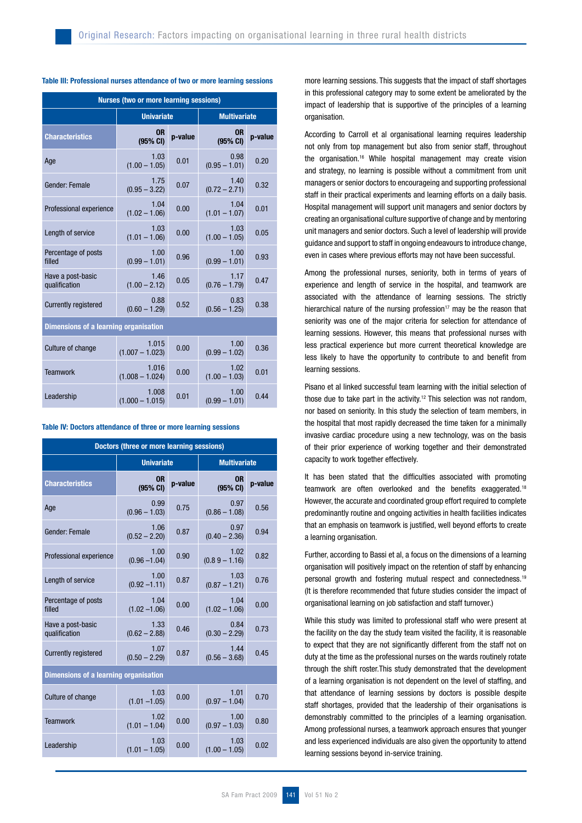| <b>Nurses (two or more learning sessions)</b> |                            |         |                            |         |  |
|-----------------------------------------------|----------------------------|---------|----------------------------|---------|--|
|                                               | <b>Univariate</b>          |         | <b>Multivariate</b>        |         |  |
| <b>Characteristics</b>                        | <b>OR</b><br>(95% CI)      | p-value | 0 <sub>R</sub><br>(95% CI) | p-value |  |
| Age                                           | 1.03<br>$(1.00 - 1.05)$    | 0.01    | 0.98<br>$(0.95 - 1.01)$    | 0.20    |  |
| Gender: Female                                | 1.75<br>$(0.95 - 3.22)$    | 0.07    | 1.40<br>$(0.72 - 2.71)$    | 0.32    |  |
| Professional experience                       | 1.04<br>$(1.02 - 1.06)$    | 0.00    | 1.04<br>$(1.01 - 1.07)$    | 0.01    |  |
| Length of service                             | 1.03<br>$(1.01 - 1.06)$    | 0.00    | 1.03<br>$(1.00 - 1.05)$    | 0.05    |  |
| Percentage of posts<br>filled                 | 1.00<br>$(0.99 - 1.01)$    | 0.96    | 1.00<br>$(0.99 - 1.01)$    | 0.93    |  |
| Have a post-basic<br>qualification            | 1.46<br>$(1.00 - 2.12)$    | 0.05    | 1.17<br>$(0.76 - 1.79)$    | 0.47    |  |
| <b>Currently registered</b>                   | 0.88<br>$(0.60 - 1.29)$    | 0.52    | 0.83<br>$(0.56 - 1.25)$    | 0.38    |  |
| <b>Dimensions of a learning organisation</b>  |                            |         |                            |         |  |
| Culture of change                             | 1.015<br>$(1.007 - 1.023)$ | 0.00    | 1.00<br>$(0.99 - 1.02)$    | 0.36    |  |
| <b>Teamwork</b>                               | 1.016<br>$(1.008 - 1.024)$ | 0.00    | 1.02<br>$(1.00 - 1.03)$    | 0.01    |  |
| Leadership                                    | 1.008<br>$(1.000 - 1.015)$ | 0.01    | 1.00<br>$(0.99 - 1.01)$    | 0.44    |  |

# Table III: Professional nurses attendance of two or more learning sessions

#### Table IV: Doctors attendance of three or more learning sessions

| Doctors (three or more learning sessions)    |                            |         |                            |         |  |
|----------------------------------------------|----------------------------|---------|----------------------------|---------|--|
|                                              | <b>Univariate</b>          |         | <b>Multivariate</b>        |         |  |
| <b>Characteristics</b>                       | 0 <sub>R</sub><br>(95% CI) | p-value | 0 <sub>R</sub><br>(95% CI) | p-value |  |
| Age                                          | 0.99<br>$(0.96 - 1.03)$    | 0.75    | 0.97<br>$(0.86 - 1.08)$    | 0.56    |  |
| Gender: Female                               | 1.06<br>$(0.52 - 2.20)$    | 0.87    | 0.97<br>$(0.40 - 2.36)$    | 0.94    |  |
| Professional experience                      | 1.00<br>$(0.96 - 1.04)$    | 0.90    | 1.02<br>$(0.89 - 1.16)$    | 0.82    |  |
| Length of service                            | 1.00<br>$(0.92 - 1.11)$    | 0.87    | 1.03<br>$(0.87 - 1.21)$    | 0.76    |  |
| Percentage of posts<br>filled                | 1.04<br>$(1.02 - 1.06)$    | 0.00    | 1.04<br>$(1.02 - 1.06)$    | 0.00    |  |
| Have a post-basic<br>qualification           | 1.33<br>$(0.62 - 2.88)$    | 0.46    | 0.84<br>$(0.30 - 2.29)$    | 0.73    |  |
| <b>Currently registered</b>                  | 1.07<br>$(0.50 - 2.29)$    | 0.87    | 1.44<br>$(0.56 - 3.68)$    | 0.45    |  |
| <b>Dimensions of a learning organisation</b> |                            |         |                            |         |  |
| Culture of change                            | 1.03<br>$(1.01 - 1.05)$    | 0.00    | 1.01<br>$(0.97 - 1.04)$    | 0.70    |  |
| <b>Teamwork</b>                              | 1.02<br>$(1.01 - 1.04)$    | 0.00    | 1.00<br>$(0.97 - 1.03)$    | 0.80    |  |
| Leadership                                   | 1.03<br>$(1.01 - 1.05)$    | 0.00    | 1.03<br>$(1.00 - 1.05)$    | 0.02    |  |

more learning sessions. This suggests that the impact of staff shortages in this professional category may to some extent be ameliorated by the impact of leadership that is supportive of the principles of a learning organisation.

According to Carroll et al organisational learning requires leadership not only from top management but also from senior staff, throughout the organisation.16 While hospital management may create vision and strategy, no learning is possible without a commitment from unit managers or senior doctors to encourageing and supporting professional staff in their practical experiments and learning efforts on a daily basis. Hospital management will support unit managers and senior doctors by creating an organisational culture supportive of change and by mentoring unit managers and senior doctors. Such a level of leadership will provide guidance and support to staff in ongoing endeavours to introduce change, even in cases where previous efforts may not have been successful.

Among the professional nurses, seniority, both in terms of years of experience and length of service in the hospital, and teamwork are associated with the attendance of learning sessions. The strictly hierarchical nature of the nursing profession<sup>17</sup> may be the reason that seniority was one of the major criteria for selection for attendance of learning sessions. However, this means that professional nurses with less practical experience but more current theoretical knowledge are less likely to have the opportunity to contribute to and benefit from learning sessions.

Pisano et al linked successful team learning with the initial selection of those due to take part in the activity.12 This selection was not random, nor based on seniority. In this study the selection of team members, in the hospital that most rapidly decreased the time taken for a minimally invasive cardiac procedure using a new technology, was on the basis of their prior experience of working together and their demonstrated capacity to work together effectively.

It has been stated that the difficulties associated with promoting teamwork are often overlooked and the benefits exaggerated.<sup>18</sup> However, the accurate and coordinated group effort required to complete predominantly routine and ongoing activities in health facilities indicates that an emphasis on teamwork is justified, well beyond efforts to create a learning organisation.

Further, according to Bassi et al, a focus on the dimensions of a learning organisation will positively impact on the retention of staff by enhancing personal growth and fostering mutual respect and connectedness.19 (It is therefore recommended that future studies consider the impact of organisational learning on job satisfaction and staff turnover.)

While this study was limited to professional staff who were present at the facility on the day the study team visited the facility, it is reasonable to expect that they are not significantly different from the staff not on duty at the time as the professional nurses on the wards routinely rotate through the shift roster.This study demonstrated that the development of a learning organisation is not dependent on the level of staffing, and that attendance of learning sessions by doctors is possible despite staff shortages, provided that the leadership of their organisations is demonstrably committed to the principles of a learning organisation. Among professional nurses, a teamwork approach ensures that younger and less experienced individuals are also given the opportunity to attend learning sessions beyond in-service training.